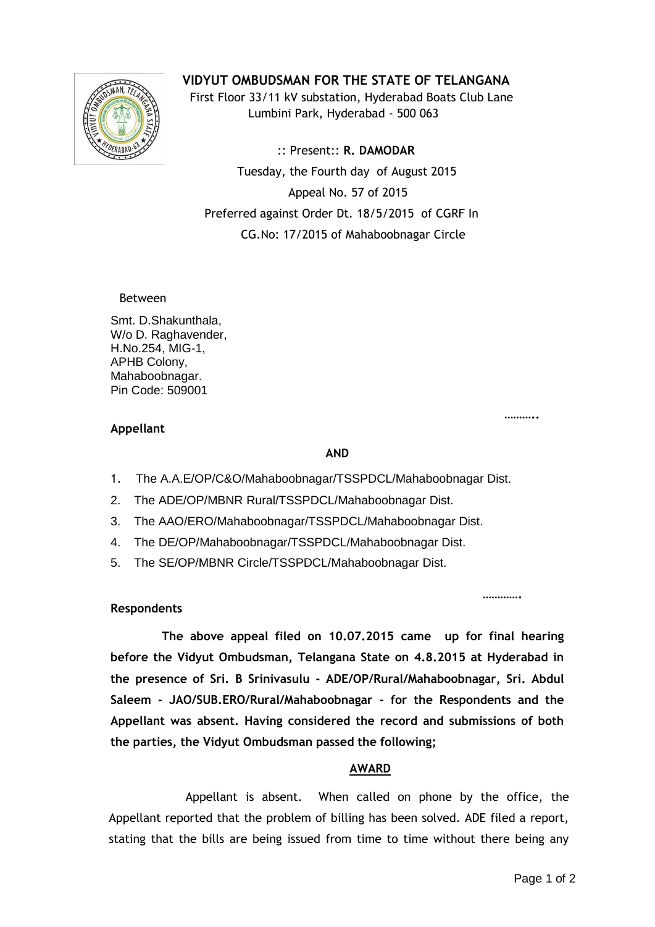

# **VIDYUT OMBUDSMAN FOR THE STATE OF TELANGANA**

 First Floor 33/11 kV substation, Hyderabad Boats Club Lane Lumbini Park, Hyderabad - 500 063

 :: Present:: **R. DAMODAR** Tuesday, the Fourth day of August 2015 Appeal No. 57 of 2015 Preferred against Order Dt. 18/5/2015 of CGRF In CG.No: 17/2015 of Mahaboobnagar Circle

### Between

Smt. D.Shakunthala, W/o D. Raghavender, H.No.254, MIG-1, APHB Colony, Mahaboobnagar. Pin Code: 509001

#### **……….. Appellant**

# 1. The A.A.E/OP/C&O/Mahaboobnagar/TSSPDCL/Mahaboobnagar Dist.

- 2. The ADE/OP/MBNR Rural/TSSPDCL/Mahaboobnagar Dist.
- 3. The AAO/ERO/Mahaboobnagar/TSSPDCL/Mahaboobnagar Dist.
- 4. The DE/OP/Mahaboobnagar/TSSPDCL/Mahaboobnagar Dist.
- 5. The SE/OP/MBNR Circle/TSSPDCL/Mahaboobnagar Dist.

### **…………. Respondents**

 **The above appeal filed on 10.07.2015 came up for final hearing before the Vidyut Ombudsman, Telangana State on 4.8.2015 at Hyderabad in the presence of Sri. B Srinivasulu - ADE/OP/Rural/Mahaboobnagar, Sri. Abdul Saleem - JAO/SUB.ERO/Rural/Mahaboobnagar - for the Respondents and the Appellant was absent. Having considered the record and submissions of both the parties, the Vidyut Ombudsman passed the following;**

**AND**

# **AWARD**

 Appellant is absent. When called on phone by the office, the Appellant reported that the problem of billing has been solved. ADE filed a report, stating that the bills are being issued from time to time without there being any